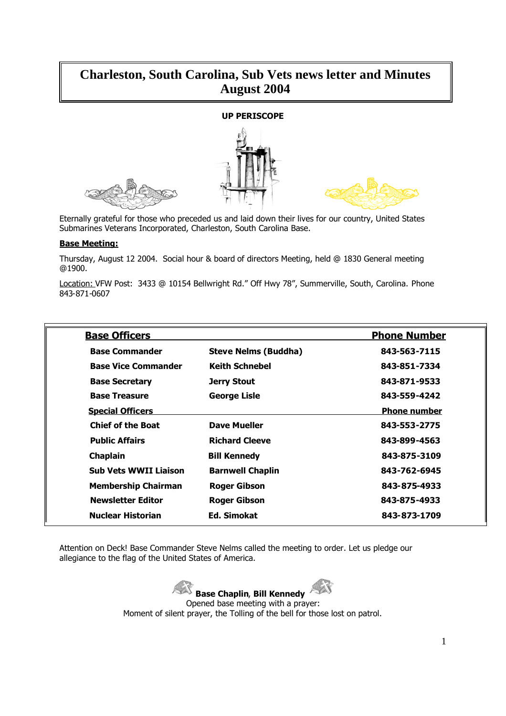# **Charleston, South Carolina, Sub Vets news letter and Minutes August 2004**

## **UP PERISCOPE**





Eternally grateful for those who preceded us and laid down their lives for our country, United States Submarines Veterans Incorporated, Charleston, South Carolina Base.

#### **Base Meeting:**

Thursday, August 12 2004. Social hour & board of directors Meeting, held @ 1830 General meeting @1900.

Location: VFW Post: 3433 @ 10154 Bellwright Rd." Off Hwy 78", Summerville, South, Carolina. Phone 843-871-0607

| <b>Base Officers</b>         |                             | <b>Phone Number</b> |
|------------------------------|-----------------------------|---------------------|
| <b>Base Commander</b>        | <b>Steve Nelms (Buddha)</b> | 843-563-7115        |
| <b>Base Vice Commander</b>   | <b>Keith Schnebel</b>       | 843-851-7334        |
| <b>Base Secretary</b>        | Jerry Stout                 | 843-871-9533        |
| <b>Base Treasure</b>         | <b>George Lisle</b>         | 843-559-4242        |
| <b>Special Officers</b>      |                             | <b>Phone number</b> |
| <b>Chief of the Boat</b>     | <b>Dave Mueller</b>         | 843-553-2775        |
| <b>Public Affairs</b>        | <b>Richard Cleeve</b>       | 843-899-4563        |
| <b>Chaplain</b>              | <b>Bill Kennedy</b>         | 843-875-3109        |
| <b>Sub Vets WWII Liaison</b> | <b>Barnwell Chaplin</b>     | 843-762-6945        |
| <b>Membership Chairman</b>   | <b>Roger Gibson</b>         | 843-875-4933        |
| <b>Newsletter Editor</b>     | <b>Roger Gibson</b>         | 843-875-4933        |
| Nuclear Historian            | Ed. Simokat                 | 843-873-1709        |

Attention on Deck! Base Commander Steve Nelms called the meeting to order. Let us pledge our allegiance to the flag of the United States of America.

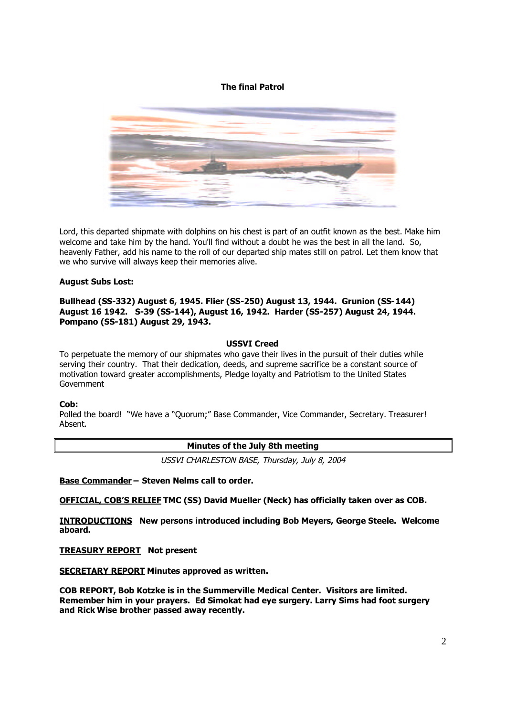## **The final Patrol**



Lord, this departed shipmate with dolphins on his chest is part of an outfit known as the best. Make him welcome and take him by the hand. You'll find without a doubt he was the best in all the land. So, heavenly Father, add his name to the roll of our departed ship mates still on patrol. Let them know that we who survive will always keep their memories alive.

#### **August Subs Lost:**

**Bullhead (SS-332) August 6, 1945. Flier (SS-250) August 13, 1944. Grunion (SS-144) August 16 1942. S-39 (SS-144), August 16, 1942. Harder (SS-257) August 24, 1944. Pompano (SS-181) August 29, 1943.**

#### **USSVI Creed**

To perpetuate the memory of our shipmates who gave their lives in the pursuit of their duties while serving their country. That their dedication, deeds, and supreme sacrifice be a constant source of motivation toward greater accomplishments, Pledge loyalty and Patriotism to the United States Government

#### **Cob:**

Polled the board! "We have a "Quorum;" Base Commander, Vice Commander, Secretary. Treasurer! Absent.

#### **Minutes of the July 8th meeting**

USSVI CHARLESTON BASE, Thursday, July 8, 2004

**Base Commander – Steven Nelms call to order.**

**OFFICIAL, COB'S RELIEF TMC (SS) David Mueller (Neck) has officially taken over as COB.**

**INTRODUCTIONS New persons introduced including Bob Meyers, George Steele. Welcome aboard.**

**TREASURY REPORT Not present**

**SECRETARY REPORT Minutes approved as written.**

**COB REPORT, Bob Kotzke is in the Summerville Medical Center. Visitors are limited. Remember him in your prayers. Ed Simokat had eye surgery. Larry Sims had foot surgery and Rick Wise brother passed away recently.**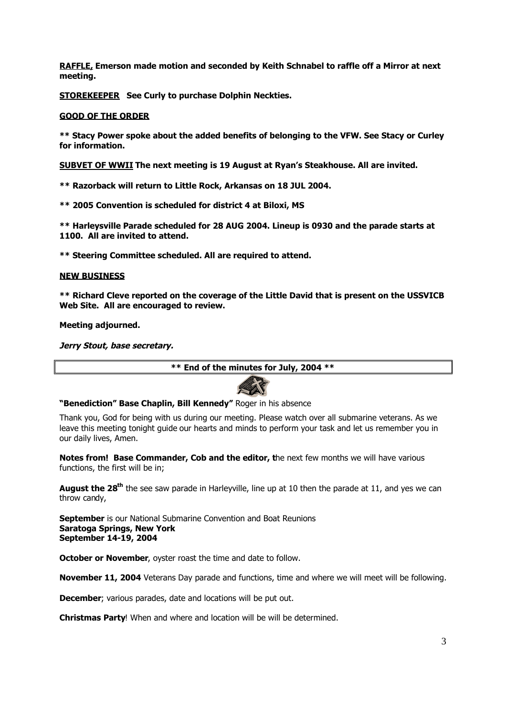**RAFFLE, Emerson made motion and seconded by Keith Schnabel to raffle off a Mirror at next meeting.**

**STOREKEEPER See Curly to purchase Dolphin Neckties.**

### **GOOD OF THE ORDER**

**\*\* Stacy Power spoke about the added benefits of belonging to the VFW. See Stacy or Curley for information.**

**SUBVET OF WWII The next meeting is 19 August at Ryan's Steakhouse. All are invited.**

**\*\* Razorback will return to Little Rock, Arkansas on 18 JUL 2004.**

**\*\* 2005 Convention is scheduled for district 4 at Biloxi, MS**

**\*\* Harleysville Parade scheduled for 28 AUG 2004. Lineup is 0930 and the parade starts at 1100. All are invited to attend.**

**\*\* Steering Committee scheduled. All are required to attend.**

#### **NEW BUSINESS**

**\*\* Richard Cleve reported on the coverage of the Little David that is present on the USSVICB Web Site. All are encouraged to review.**

**Meeting adjourned.**

**Jerry Stout, base secretary.**

**\*\* End of the minutes for July, 2004 \*\***



#### **"Benediction" Base Chaplin, Bill Kennedy"** Roger in his absence

Thank you, God for being with us during our meeting. Please watch over all submarine veterans. As we leave this meeting tonight guide our hearts and minds to perform your task and let us remember you in our daily lives, Amen.

**Notes from! Base Commander, Cob and the editor, t**he next few months we will have various functions, the first will be in;

**August the 28th** the see saw parade in Harleyville, line up at 10 then the parade at 11, and yes we can throw candy,

**September** is our National Submarine Convention and Boat Reunions **Saratoga Springs, New York September 14-19, 2004**

**October or November**, oyster roast the time and date to follow.

**November 11, 2004** Veterans Day parade and functions, time and where we will meet will be following.

**December**; various parades, date and locations will be put out.

**Christmas Party**! When and where and location will be will be determined.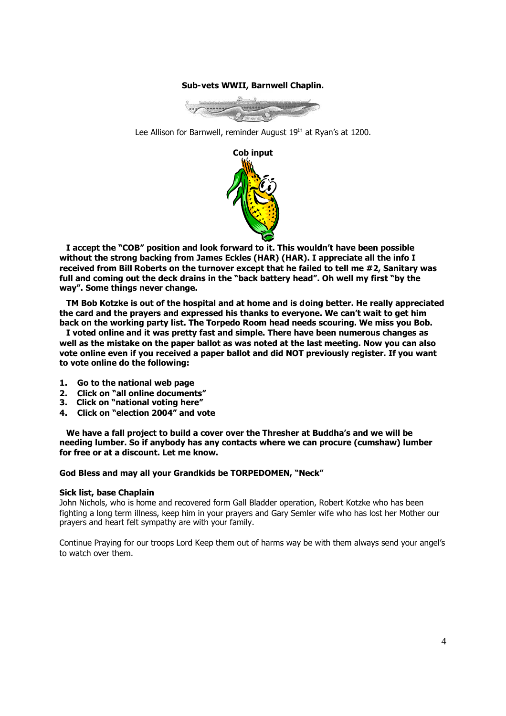#### **Sub-vets WWII, Barnwell Chaplin.**



Lee Allison for Barnwell, reminder August 19<sup>th</sup> at Ryan's at 1200.



**I accept the "COB" position and look forward to it. This wouldn't have been possible without the strong backing from James Eckles (HAR) (HAR). I appreciate all the info I received from Bill Roberts on the turnover except that he failed to tell me #2, Sanitary was full and coming out the deck drains in the "back battery head". Oh well my first "by the way". Some things never change.**

**TM Bob Kotzke is out of the hospital and at home and is doing better. He really appreciated the card and the prayers and expressed his thanks to everyone. We can't wait to get him back on the working party list. The Torpedo Room head needs scouring. We miss you Bob.**

**I voted online and it was pretty fast and simple. There have been numerous changes as well as the mistake on the paper ballot as was noted at the last meeting. Now you can also vote online even if you received a paper ballot and did NOT previously register. If you want to vote online do the following:**

- **1. Go to the national web page**
- **2. Click on "all online documents"**
- **3. Click on "national voting here"**
- **4. Click on "election 2004" and vote**

**We have a fall project to build a cover over the Thresher at Buddha's and we will be needing lumber. So if anybody has any contacts where we can procure (cumshaw) lumber for free or at a discount. Let me know.**

#### **God Bless and may all your Grandkids be TORPEDOMEN, "Neck"**

#### **Sick list, base Chaplain**

John Nichols, who is home and recovered form Gall Bladder operation, Robert Kotzke who has been fighting a long term illness, keep him in your prayers and Gary Semler wife who has lost her Mother our prayers and heart felt sympathy are with your family.

Continue Praying for our troops Lord Keep them out of harms way be with them always send your angel's to watch over them.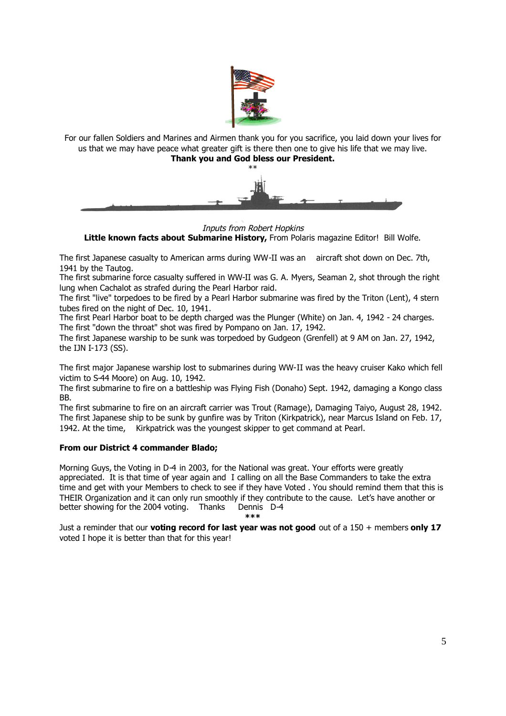

For our fallen Soldiers and Marines and Airmen thank you for you sacrifice, you laid down your lives for us that we may have peace what greater gift is there then one to give his life that we may live. **Thank you and God bless our President.**



Inputs from Robert Hopkins **Little known facts about Submarine History,** From Polaris magazine Editor! Bill Wolfe.

The first Japanese casualty to American arms during WW-II was an aircraft shot down on Dec. 7th, 1941 by the Tautog.

The first submarine force casualty suffered in WW-II was G. A. Myers, Seaman 2, shot through the right lung when Cachalot as strafed during the Pearl Harbor raid.

The first "live" torpedoes to be fired by a Pearl Harbor submarine was fired by the Triton (Lent), 4 stern tubes fired on the night of Dec. 10, 1941.

The first Pearl Harbor boat to be depth charged was the Plunger (White) on Jan. 4, 1942 - 24 charges. The first "down the throat" shot was fired by Pompano on Jan. 17, 1942.

The first Japanese warship to be sunk was torpedoed by Gudgeon (Grenfell) at 9 AM on Jan. 27, 1942, the IJN I-173 (SS).

The first major Japanese warship lost to submarines during WW-II was the heavy cruiser Kako which fell victim to S-44 Moore) on Aug. 10, 1942.

The first submarine to fire on a battleship was Flying Fish (Donaho) Sept. 1942, damaging a Kongo class BB.

The first submarine to fire on an aircraft carrier was Trout (Ramage), Damaging Taiyo, August 28, 1942. The first Japanese ship to be sunk by gunfire was by Triton (Kirkpatrick), near Marcus Island on Feb. 17, 1942. At the time, Kirkpatrick was the youngest skipper to get command at Pearl.

## **From our District 4 commander Blado;**

Morning Guys, the Voting in D-4 in 2003, for the National was great. Your efforts were greatly appreciated. It is that time of year again and I calling on all the Base Commanders to take the extra time and get with your Members to check to see if they have Voted . You should remind them that this is THEIR Organization and it can only run smoothly if they contribute to the cause. Let's have another or better showing for the 2004 voting. Thanks Dennis D-4

**\*\*\***

Just a reminder that our **voting record for last year was not good** out of a 150 + members **only 17** voted I hope it is better than that for this year!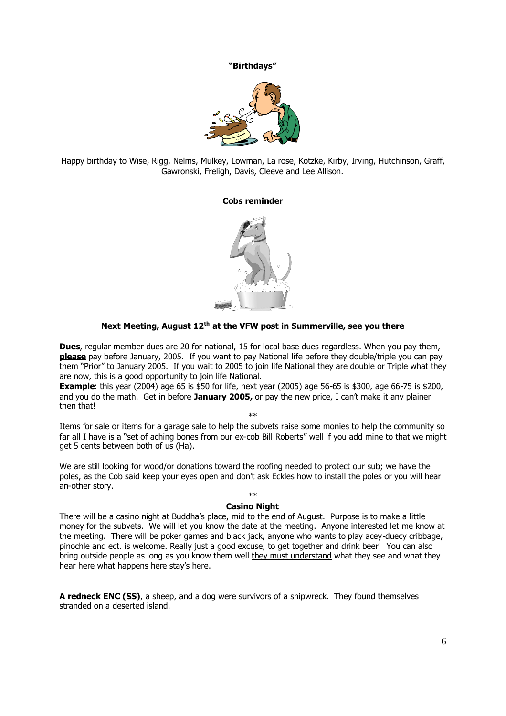#### **"Birthdays"**



Happy birthday to Wise, Rigg, Nelms, Mulkey, Lowman, La rose, Kotzke, Kirby, Irving, Hutchinson, Graff, Gawronski, Freligh, Davis, Cleeve and Lee Allison.

#### **Cobs reminder**



# **Next Meeting, August 12th at the VFW post in Summerville, see you there**

**Dues**, regular member dues are 20 for national, 15 for local base dues regardless. When you pay them, **please** pay before January, 2005. If you want to pay National life before they double/triple you can pay them "Prior" to January 2005. If you wait to 2005 to join life National they are double or Triple what they are now, this is a good opportunity to join life National.

**Example**: this year (2004) age 65 is \$50 for life, next year (2005) age 56-65 is \$300, age 66-75 is \$200, and you do the math. Get in before **January 2005,** or pay the new price, I can't make it any plainer then that!

\*\*

Items for sale or items for a garage sale to help the subvets raise some monies to help the community so far all I have is a "set of aching bones from our ex-cob Bill Roberts" well if you add mine to that we might get 5 cents between both of us (Ha).

We are still looking for wood/or donations toward the roofing needed to protect our sub; we have the poles, as the Cob said keep your eyes open and don't ask Eckles how to install the poles or you will hear an-other story.

#### \*\* **Casino Night**

There will be a casino night at Buddha's place, mid to the end of August. Purpose is to make a little money for the subvets. We will let you know the date at the meeting. Anyone interested let me know at the meeting. There will be poker games and black jack, anyone who wants to play acey-duecy cribbage, pinochle and ect. is welcome. Really just a good excuse, to get together and drink beer! You can also bring outside people as long as you know them well they must understand what they see and what they hear here what happens here stay's here.

**A redneck ENC (SS)**, a sheep, and a dog were survivors of a shipwreck. They found themselves stranded on a deserted island.